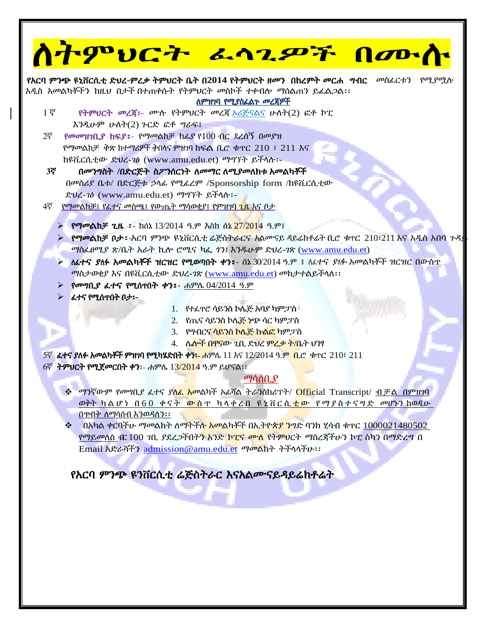| ስትምህርት ፌሳጊዎች በሙስ                                                                                                                                                                                                 |  |  |  |
|------------------------------------------------------------------------------------------------------------------------------------------------------------------------------------------------------------------|--|--|--|
| የአርባ ምንጭ ዩኒቨርሲቲ ድህረ-ምረቃ ትምህርት ቤት በ2014 የትምህርት ዘመን በከረምት መርሐ ግብር <i>መስ</i> ፈርቱን የሚያሟሉ                                                                                                                             |  |  |  |
| አዲስ አመልካቾችን ከዚህ በታች በተጠቀሱት የትምህርት መስኮች ተቀብሎ ማሰልጠን ይፌል <i>ጋ</i> ል፡፡<br>ለምዝገባ የሚያስፈልጉ መረጃዎች                                                                                                                        |  |  |  |
| 15<br>የትምህርት መረጃ፡- ሙሉ የትምህርት መረጃ <u>ኦሪጅናልና</u> ሁለት(2) ፎቶ ኮፒ                                                                                                                                                      |  |  |  |
| $\lambda$ ንዲሁም ሁለት $(2)$ ጉርድ ፎቶ ግራፍ፤                                                                                                                                                                             |  |  |  |
| የመመዝንቢያ ክፍያ: የማመልከቻ ክፊያ የ100 ብር ደረሰኝ በመያዝ<br>$2\overline{5}$<br>የማመልከቻ ቅጽ ከተማሪዎች ቅበላና ምዝገባ ከፍል ቢሮ ቁጥር 210 ፣ 211 እና                                                                                               |  |  |  |
| ከዩቪርሲቲው ድህረ-70 (www.amu.edu.et) ማግኘት ይችላሉ:-                                                                                                                                                                      |  |  |  |
| 3ኛ<br>በመንግስት /በድርጅት ስፖንሰርነት ለመማር ለሚያመለከቱ አመልካቾች                                                                                                                                                                  |  |  |  |
| በመስሪያ ቤቱ/ በድርጅቱ ኃላፊ የሚፌረም /Sponsorship form /ከዩቪርሲቲው                                                                                                                                                             |  |  |  |
| ድህረ-70 (www.amu.edu.et) ማግኘት ይችላሉ፡-                                                                                                                                                                              |  |  |  |
| 4ኛ<br><u>የማመልከቻ፤ የፌተና መስጫ፤ የውጤት ማሳወቂያ፤ የምዝገባ ጊዜ እና ቦታ</u>                                                                                                                                                        |  |  |  |
| <mark>&gt; የማመልከቻ ጊዜ ፡</mark> - ከሰኔ 13/2014 ዓ.ም እስከ ሰ <mark>ኔ 27/201</mark> 4 ዓ.ም፤                                                                                                                               |  |  |  |
| $\triangleright$ የማመልከቻ በታ፡-አርባ ምንጭ ዩኒቨርሲቲ ሬጅስትራርና አልሙናይ ዳይሬክቶሬት ቢሮ ቁተር 210፡211 እና አዲስ አበባ ጉዳ                                                                                                                    |  |  |  |
| ማስፌፀሚያ ጽ/ቤት አራት ኪሎ ሮሚና ካፌ ነን፤ እንዱሁም ድህረ-7ጽ (www.amu.edu.et)                                                                                                                                                      |  |  |  |
| ለፊተና ያለፉ አመልካቾች ዝርዝር የሚወጣበት ቀን፣- ሰኔ 30/2014 ዓ.ም ፤ ለፊተና ያለፉ አመልካቾች ዝርዝር በውስጥ<br>ማስታወቂያ እና በዩቪርሲቲው ድህረ-7ጽ (www.amu.edu.et) መከታተልይችላለ፡፡                                                                             |  |  |  |
| > የመግቢያ ፈተና የሚሰጥበት ቀን: ሐምሌ 04/2014 ዓ.ም                                                                                                                                                                           |  |  |  |
| > ፈተና የሚሰጥበት በታ፡-                                                                                                                                                                                                |  |  |  |
| $1.$ የተፈዋሮ ሳይንስ ኮሌጅ አባያ ካምፓስ $\blacksquare$                                                                                                                                                                      |  |  |  |
| 2. የጤና ሳይንስ ኮሌጅ ነጭ ሳር ካምፓስ                                                                                                                                                                                       |  |  |  |
| 3. የማብርና ሳይንስ ኮሌጅ ኩልፎ ካምፓስ                                                                                                                                                                                       |  |  |  |
| 4. ሌ <mark>ሎች በዋናው ጊቢ ድህረ ምረቃ ት/ቤ</mark> ት ህንፃ<br>5ኛ  ፈተና ያለፉ አመልካቾች ምዝገባ የሚካሄድበት ቀን፡- ሐምሌ 11 እና 12/2014 ዓ.ም  ቢሮ  ቁተር  210፣ 211                                                                                  |  |  |  |
| 6ኛ ት <b>ምህርት የሚጀመርበት ቀን:</b> - ሐምሌ 13/2014 ዓ.ም ይሆናል፡፡                                                                                                                                                            |  |  |  |
| <u>ማሳሰቢያ</u>                                                                                                                                                                                                     |  |  |  |
| <mark>❖ ማንኛውም የመግቢያ ፈተና ያ<mark>ለፌ አመ</mark>ልካች አፊሻል ትራንስክሪፕት/ <mark>Offic</mark>ial Transcript/ <u>ብቻል በምዝገባ</u></mark>                                                                                          |  |  |  |
| <u>ወቅት ካልሆነ በ60 ቀናት ውስጥ ካላቀረበ ዩኒቨርሲቲው የማያስተናግድ መሆኑን ከወዲሁ </u>                                                                                                                                                    |  |  |  |
| በምብቅ ለማሳሰብ እንወዳለን፡፡                                                                                                                                                                                              |  |  |  |
| በአካል ቀርባችሁ ማመልከት ለማትችሉ <mark>አመል</mark> ካቾች በኢትዮ <mark>ጵያ ን</mark> ግድ ባንክ ሂሳብ ቁጥር 1000021480502<br>❖<br>የማይመለስ <i>የ</i> ር 100 <i>ኀ</i> ቢ ያደረ <i>ጋ</i> ችበትን አንድ <mark>ኮፒና ሙለ</mark> የትምህርት ማስረጃችሁን ኮፒ ስካን በማድረግ በ |  |  |  |
| Email አድራሻችን admission@amu.edu.et ማመልከት ትችላላችሁ::                                                                                                                                                                 |  |  |  |
|                                                                                                                                                                                                                  |  |  |  |
| የአርባ ምንጭ ዩንቨርሲቲ ሬጅስትራር እናአልሙናይዳይሬክቶሬት                                                                                                                                                                            |  |  |  |
|                                                                                                                                                                                                                  |  |  |  |
|                                                                                                                                                                                                                  |  |  |  |
|                                                                                                                                                                                                                  |  |  |  |
|                                                                                                                                                                                                                  |  |  |  |
|                                                                                                                                                                                                                  |  |  |  |
|                                                                                                                                                                                                                  |  |  |  |
|                                                                                                                                                                                                                  |  |  |  |
|                                                                                                                                                                                                                  |  |  |  |